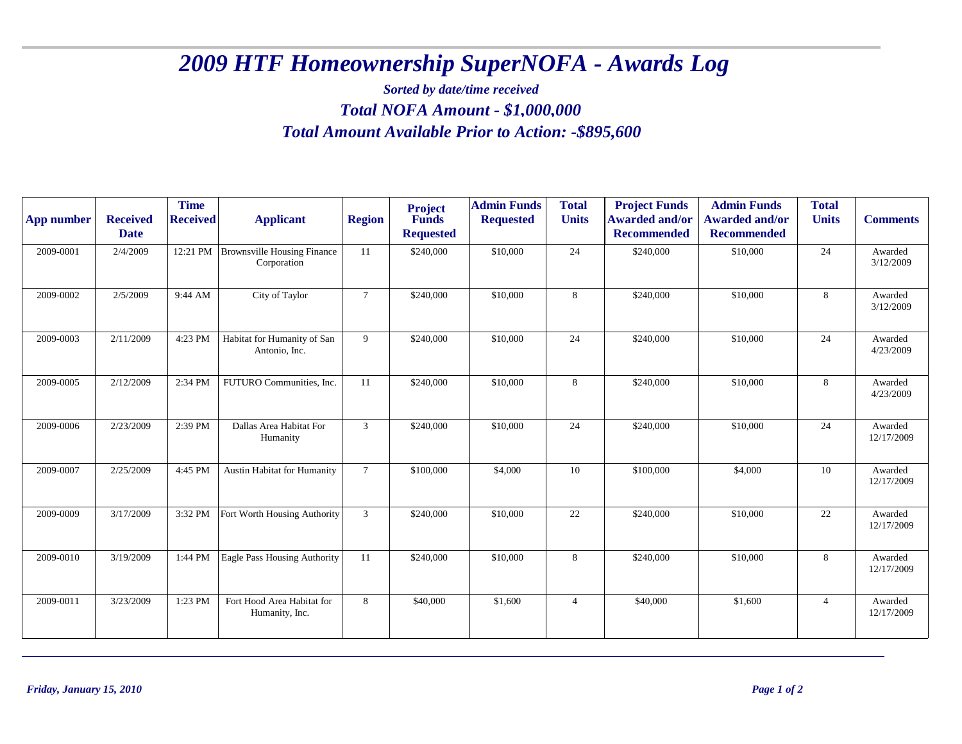## *2009 HTF Homeownership SuperNOFA - Awards Log*

## *Sorted by date/time received Total NOFA Amount - \$ 1,000,000 Total Amount Available Prior to Action: -\$895,600*

| App number | <b>Received</b><br><b>Date</b> | <b>Time</b><br><b>Received</b> | <b>Applicant</b>                                  | <b>Region</b>  | <b>Project</b><br>Funds<br><b>Requested</b> | <b>Admin Funds</b><br><b>Requested</b> | <b>Total</b><br><b>Units</b> | <b>Project Funds</b><br><b>Awarded and/or</b><br><b>Recommended</b> | <b>Admin Funds</b><br><b>Awarded and/or</b><br><b>Recommended</b> | <b>Total</b><br><b>Units</b> | <b>Comments</b>       |
|------------|--------------------------------|--------------------------------|---------------------------------------------------|----------------|---------------------------------------------|----------------------------------------|------------------------------|---------------------------------------------------------------------|-------------------------------------------------------------------|------------------------------|-----------------------|
| 2009-0001  | 2/4/2009                       | 12:21 PM                       | <b>Brownsville Housing Finance</b><br>Corporation | 11             | \$240,000                                   | \$10,000                               | 24                           | \$240,000                                                           | \$10,000                                                          | 24                           | Awarded<br>3/12/2009  |
| 2009-0002  | 2/5/2009                       | 9:44 AM                        | City of Taylor                                    | $\tau$         | \$240,000                                   | \$10,000                               | 8                            | \$240,000                                                           | \$10,000                                                          | 8                            | Awarded<br>3/12/2009  |
| 2009-0003  | 2/11/2009                      | 4:23 PM                        | Habitat for Humanity of San<br>Antonio, Inc.      | 9              | \$240,000                                   | \$10,000                               | 24                           | \$240,000                                                           | \$10,000                                                          | 24                           | Awarded<br>4/23/2009  |
| 2009-0005  | 2/12/2009                      | 2:34 PM                        | FUTURO Communities, Inc.                          | 11             | \$240,000                                   | \$10,000                               | 8                            | \$240,000                                                           | \$10,000                                                          | 8                            | Awarded<br>4/23/2009  |
| 2009-0006  | 2/23/2009                      | 2:39 PM                        | Dallas Area Habitat For<br>Humanity               | 3              | \$240,000                                   | \$10,000                               | 24                           | \$240,000                                                           | \$10,000                                                          | $24\,$                       | Awarded<br>12/17/2009 |
| 2009-0007  | 2/25/2009                      | 4:45 PM                        | Austin Habitat for Humanity                       | $\overline{7}$ | \$100,000                                   | \$4,000                                | 10                           | \$100,000                                                           | \$4,000                                                           | 10                           | Awarded<br>12/17/2009 |
| 2009-0009  | 3/17/2009                      | 3:32 PM                        | Fort Worth Housing Authority                      | 3              | \$240,000                                   | \$10,000                               | 22                           | \$240,000                                                           | \$10,000                                                          | 22                           | Awarded<br>12/17/2009 |
| 2009-0010  | 3/19/2009                      | 1:44 PM                        | Eagle Pass Housing Authority                      | 11             | \$240,000                                   | \$10,000                               | 8                            | \$240,000                                                           | \$10,000                                                          | $8\,$                        | Awarded<br>12/17/2009 |
| 2009-0011  | 3/23/2009                      | 1:23 PM                        | Fort Hood Area Habitat for<br>Humanity, Inc.      | 8              | \$40,000                                    | \$1,600                                | $\overline{4}$               | \$40,000                                                            | \$1,600                                                           | $\overline{4}$               | Awarded<br>12/17/2009 |